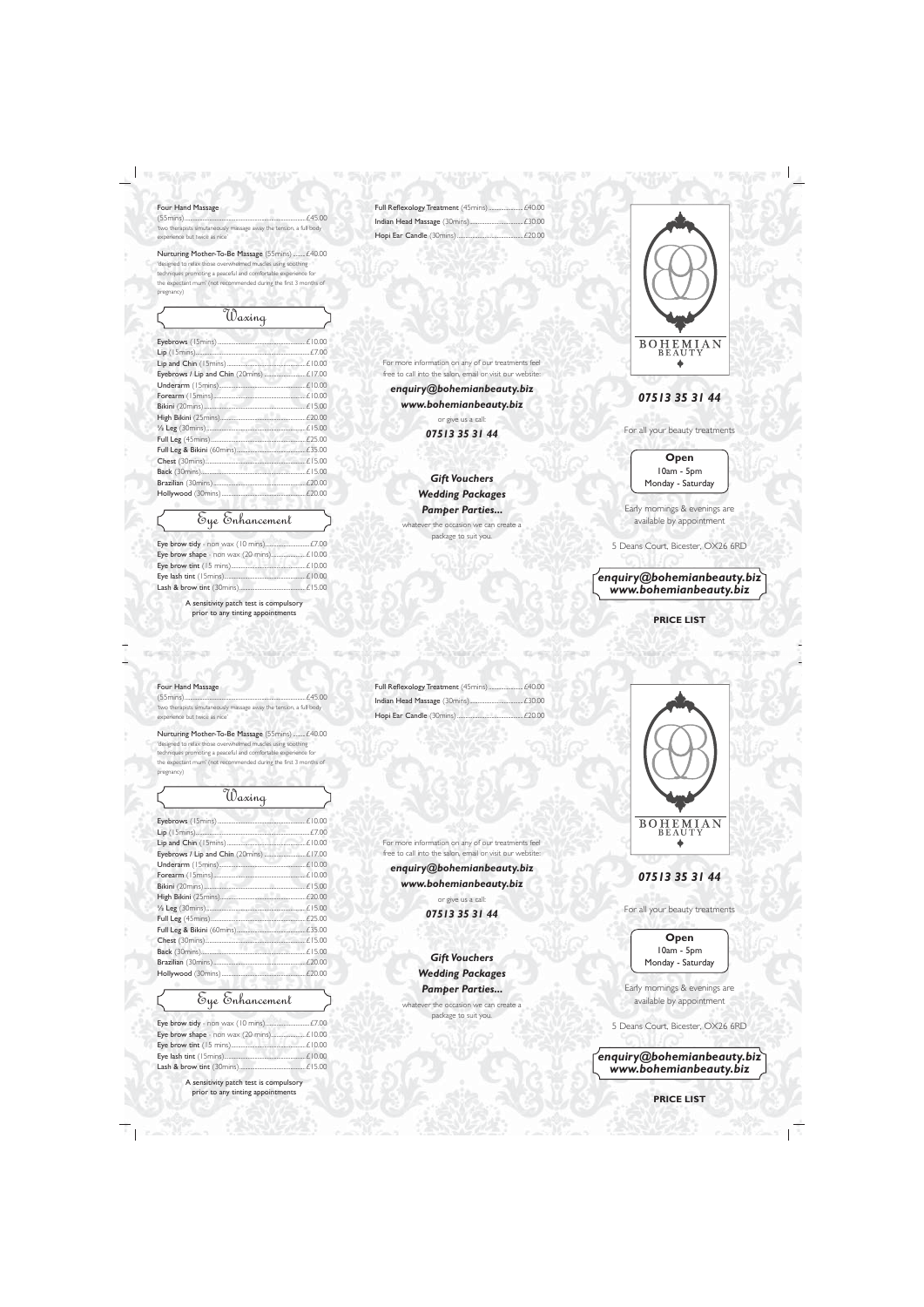|  |  | Four Hand Massage |  |
|--|--|-------------------|--|
|--|--|-------------------|--|

| 'two therapists simutaneously massage away the tension, a full body |  |
|---------------------------------------------------------------------|--|
| experience but twice as nice'                                       |  |

Nurturing Mother-To-Be Massage (55mins) .........£40.00 'designed to relax those overwhelmed muscles using soothing techniques promoting a peaceful and comfortable experience for

the expectant mum' (not recommended during the first 3 months of pregnancy)

| Waxing |  |
|--------|--|
|        |  |
|        |  |
|        |  |
|        |  |
|        |  |
|        |  |
|        |  |
|        |  |
|        |  |
|        |  |
|        |  |
|        |  |
|        |  |
|        |  |
|        |  |
|        |  |

# Eye Enhancement

A sensitivity patch test is compulsory prior to any tinting appointments

For more information on any of our treatments feel free to call into the salon, email or visit our website:

*enquiry@bohemianbeauty.biz www.bohemianbeauty.biz*

> or give us a call: *07513 35 31 44*

### *Gift Vouchers Wedding Packages Pamper Parties...*

whatever the occasion we can create a package to suit you.



## *07513 35 31 44*

For all your beauty treatments

### **Open** 10am - 5pm Monday - Saturday

Early mornings & evenings are available by appointment

5 Deans Court, Bicester, OX26 6RD

*enquiry@bohemianbeauty.biz www.bohemianbeauty.biz*

**PRICE LIST**